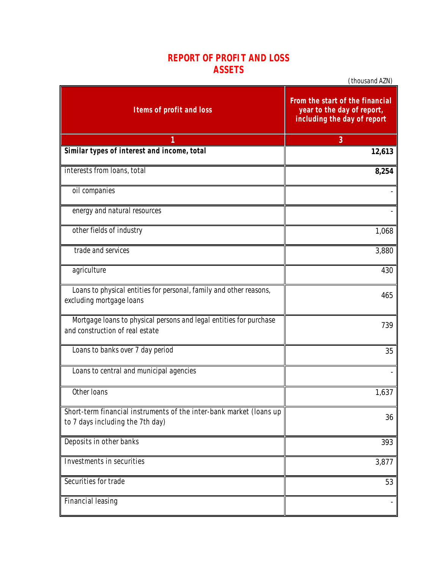## **REPORT OF PROFIT AND LOSS ASSETS**

*(thousand AZN)*

| <b>Items of profit and loss</b>                                                                         | From the start of the financial<br>year to the day of report,<br>including the day of report |
|---------------------------------------------------------------------------------------------------------|----------------------------------------------------------------------------------------------|
| 1                                                                                                       | 3                                                                                            |
| Similar types of interest and income, total                                                             | 12,613                                                                                       |
| interests from loans, total                                                                             | 8,254                                                                                        |
| oil companies                                                                                           |                                                                                              |
| energy and natural resources                                                                            |                                                                                              |
| other fields of industry                                                                                | 1,068                                                                                        |
| trade and services                                                                                      | 3,880                                                                                        |
| agriculture                                                                                             | 430                                                                                          |
| Loans to physical entities for personal, family and other reasons,<br>excluding mortgage loans          | 465                                                                                          |
| Mortgage loans to physical persons and legal entities for purchase<br>and construction of real estate   | 739                                                                                          |
| Loans to banks over 7 day period                                                                        | 35                                                                                           |
| Loans to central and municipal agencies                                                                 |                                                                                              |
| Other Ioans                                                                                             | 1,637                                                                                        |
| Short-term financial instruments of the inter-bank market (loans up<br>to 7 days including the 7th day) | 36                                                                                           |
| Deposits in other banks                                                                                 | 393                                                                                          |
| Investments in securities                                                                               | 3,877                                                                                        |
| Securities for trade                                                                                    | 53                                                                                           |
| <b>Financial leasing</b>                                                                                |                                                                                              |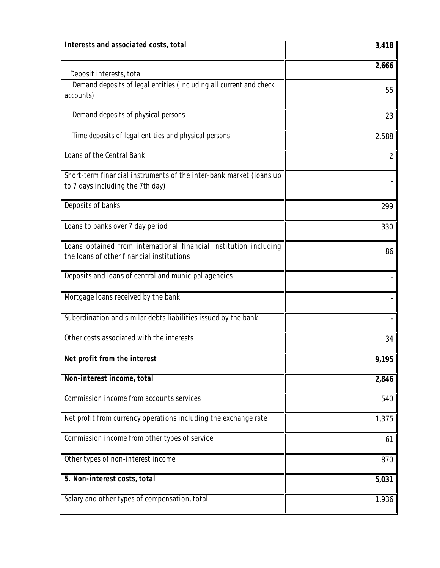| Interests and associated costs, total                                                                          | 3,418          |
|----------------------------------------------------------------------------------------------------------------|----------------|
| Deposit interests, total                                                                                       | 2,666          |
| Demand deposits of legal entities (including all current and check<br>accounts)                                | 55             |
| Demand deposits of physical persons                                                                            | 23             |
| Time deposits of legal entities and physical persons                                                           | 2,588          |
| Loans of the Central Bank                                                                                      | $\overline{2}$ |
| Short-term financial instruments of the inter-bank market (loans up<br>to 7 days including the 7th day)        |                |
| Deposits of banks                                                                                              | 299            |
| Loans to banks over 7 day period                                                                               | 330            |
| Loans obtained from international financial institution including<br>the loans of other financial institutions | 86             |
| Deposits and loans of central and municipal agencies                                                           |                |
| Mortgage Ioans received by the bank                                                                            |                |
| Subordination and similar debts liabilities issued by the bank                                                 |                |
| Other costs associated with the interests                                                                      | 34             |
| Net profit from the interest                                                                                   | 9,195          |
| Non-interest income, total                                                                                     | 2,846          |
| Commission income from accounts services                                                                       | 540            |
| Net profit from currency operations including the exchange rate                                                | 1,375          |
| Commission income from other types of service                                                                  | 61             |
| Other types of non-interest income                                                                             | 870            |
| 5. Non-interest costs, total                                                                                   | 5,031          |
| Salary and other types of compensation, total                                                                  | 1,936          |